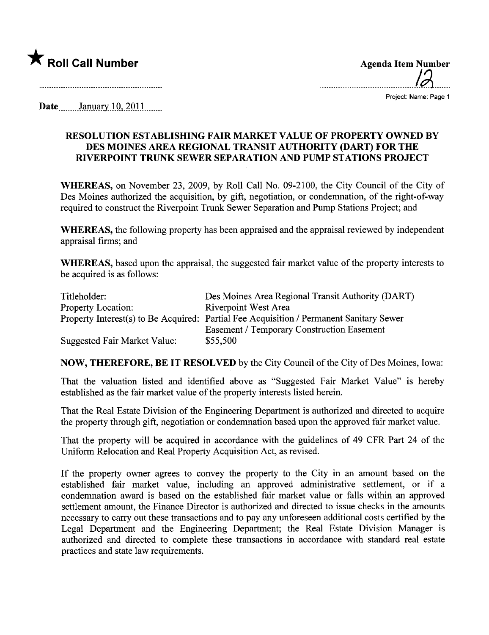

..........................................12.......

Project: Name: Page 1

Date $\frac{\text{January }10, 2011}{\text{boundary }10, 2011}$ 

## RESOLUTION ESTABLISHING FAIR MARKET VALUE OF PROPERTY OWNED BY DES MOINES AREA REGIONAL TRANSIT AUTHORITY (DART) FOR THE RIVERPOINT TRUNK SEWER SEPARATION AND PUMP STATIONS PROJECT

WHEREAS, on November 23, 2009, by Roll Call No. 09-2100, the City Council of the City of Des Moines authorized the acquisition, by gift, negotiation, or condemnation, of the right-of-way required to construct the Riverpoint Trunk Sewer Separation and Pump Stations Project; and

WHEREAS, the following property has been appraised and the appraisal reviewed by independent appraisal firms; and

WHEREAS, based upon the appraisal, the suggested fair market value of the property interests to be acquired is as follows:

| Titleholder:                 | Des Moines Area Regional Transit Authority (DART)                                       |
|------------------------------|-----------------------------------------------------------------------------------------|
| <b>Property Location:</b>    | <b>Riverpoint West Area</b>                                                             |
|                              | Property Interest(s) to Be Acquired: Partial Fee Acquisition / Permanent Sanitary Sewer |
|                              | <b>Easement / Temporary Construction Easement</b>                                       |
| Suggested Fair Market Value: | \$55,500                                                                                |

NOW, THEREFORE, BE IT RESOLVED by the City Council of the City of Des Moines, Iowa:

That the valuation listed and identified above as "Suggested Fair Market Value" is hereby established as the fair market value of the property interests listed herein.

That the Real Estate Division of the Engineering Deparment is authorized and directed to acquire the property through gift, negotiation or condemnation based upon the approved fair market value.

That the property will be acquired in accordance with the guidelines of 49 CFR Part 24 of the Uniform Relocation and Real Property Acquisition Act, as revised.

If the property owner agrees to convey the property to the City in an amount based on the established fair market value, including an approved administrative settlement, or if a condemnation award is based on the established fair market value or falls within an approved settlement amount, the Finance Director is authorized and directed to issue checks in the amounts necessary to cary out these transactions and to pay any unforeseen additional costs certified by the Legal Deparment and the Engineering Department; the Real Estate Division Manager is authorized and directed to complete these transactions in accordance with standard real estate practices and state law requirements.